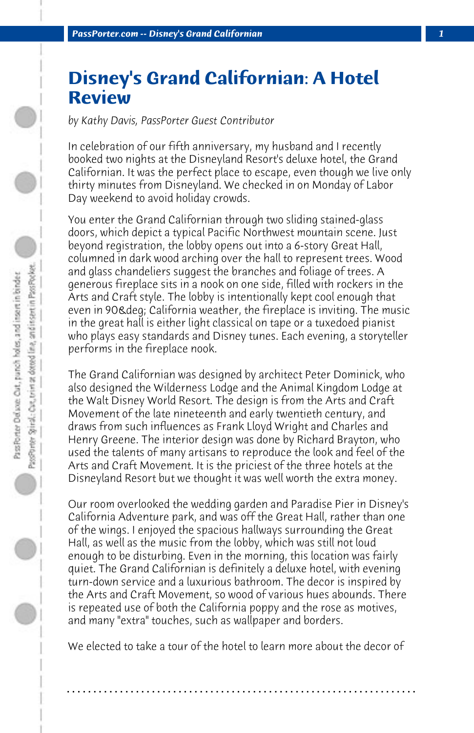## **Disney's Grand Californian: A Hotel Review**

*by Kathy Davis, PassPorter Guest Contributor*

In celebration of our fifth anniversary, my husband and I recently booked two nights at the Disneyland Resort's deluxe hotel, the Grand Californian. It was the perfect place to escape, even though we live only thirty minutes from Disneyland. We checked in on Monday of Labor Day weekend to avoid holiday crowds.

You enter the Grand Californian through two sliding stained-glass doors, which depict a typical Pacific Northwest mountain scene. Just beyond registration, the lobby opens out into a 6-story Great Hall, columned in dark wood arching over the hall to represent trees. Wood and glass chandeliers suggest the branches and foliage of trees. A generous fireplace sits in a nook on one side, filled with rockers in the Arts and Craft style. The lobby is intentionally kept cool enough that even in 90& deg: California weather, the fireplace is inviting. The music in the great hall is either light classical on tape or a tuxedoed pianist who plays easy standards and Disney tunes. Each evening, a storyteller performs in the fireplace nook.

The Grand Californian was designed by architect Peter Dominick, who also designed the Wilderness Lodge and the Animal Kingdom Lodge at the Walt Disney World Resort. The design is from the Arts and Craft Movement of the late nineteenth and early twentieth century, and draws from such influences as Frank Lloyd Wright and Charles and Henry Greene. The interior design was done by Richard Brayton, who used the talents of many artisans to reproduce the look and feel of the Arts and Craft Movement. It is the priciest of the three hotels at the Disneyland Resort but we thought it was well worth the extra money.

Our room overlooked the wedding garden and Paradise Pier in Disney's California Adventure park, and was off the Great Hall, rather than one of the wings. I enjoyed the spacious hallways surrounding the Great Hall, as well as the music from the lobby, which was still not loud enough to be disturbing. Even in the morning, this location was fairly quiet. The Grand Californian is definitely a deluxe hotel, with evening turn-down service and a luxurious bathroom. The decor is inspired by the Arts and Craft Movement, so wood of various hues abounds. There is repeated use of both the California poppy and the rose as motives, and many "extra" touches, such as wallpaper and borders.

We elected to take a tour of the hotel to learn more about the decor of

**. . . . . . . . . . . . . . . . . . . . . . . . . . . . . . . . . . . . . . . . . . . . . . . . . . . . . . . . . . . . . . . . . .**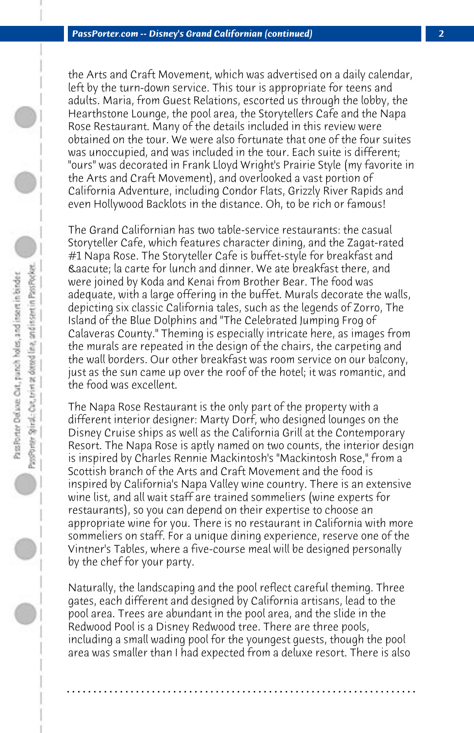the Arts and Craft Movement, which was advertised on a daily calendar, left by the turn-down service. This tour is appropriate for teens and adults. Maria, from Guest Relations, escorted us through the lobby, the Hearthstone Lounge, the pool area, the Storytellers Cafe and the Napa Rose Restaurant. Many of the details included in this review were obtained on the tour. We were also fortunate that one of the four suites was unoccupied, and was included in the tour. Each suite is different; "ours" was decorated in Frank Lloyd Wright's Prairie Style (my favorite in the Arts and Craft Movement), and overlooked a vast portion of California Adventure, including Condor Flats, Grizzly River Rapids and even Hollywood Backlots in the distance. Oh, to be rich or famous!

The Grand Californian has two table-service restaurants: the casual Storyteller Cafe, which features character dining, and the Zagat-rated #1 Napa Rose. The Storyteller Cafe is buffet-style for breakfast and á la carte for lunch and dinner. We ate breakfast there, and were joined by Koda and Kenai from Brother Bear. The food was adequate, with a large offering in the buffet. Murals decorate the walls, depicting six classic California tales, such as the legends of Zorro, The Island of the Blue Dolphins and "The Celebrated Jumping Frog of Calaveras County." Theming is especially intricate here, as images from the murals are repeated in the design of the chairs, the carpeting and the wall borders. Our other breakfast was room service on our balcony, just as the sun came up over the roof of the hotel; it was romantic, and the food was excellent.

The Napa Rose Restaurant is the only part of the property with a different interior designer: Marty Dorf, who designed lounges on the Disney Cruise ships as well as the California Grill at the Contemporary Resort. The Napa Rose is aptly named on two counts, the interior design is inspired by Charles Rennie Mackintosh's "Mackintosh Rose," from a Scottish branch of the Arts and Craft Movement and the food is inspired by California's Napa Valley wine country. There is an extensive wine list, and all wait staff are trained sommeliers (wine experts for restaurants), so you can depend on their expertise to choose an appropriate wine for you. There is no restaurant in California with more sommeliers on staff. For a unique dining experience, reserve one of the Vintner's Tables, where a five-course meal will be designed personally by the chef for your party.

Naturally, the landscaping and the pool reflect careful theming. Three gates, each different and designed by California artisans, lead to the pool area. Trees are abundant in the pool area, and the slide in the Redwood Pool is a Disney Redwood tree. There are three pools, including a small wading pool for the youngest guests, though the pool area was smaller than I had expected from a deluxe resort. There is also

**. . . . . . . . . . . . . . . . . . . . . . . . . . . . . . . . . . . . . . . . . . . . . . . . . . . . . . . . . . . . . . . . . .**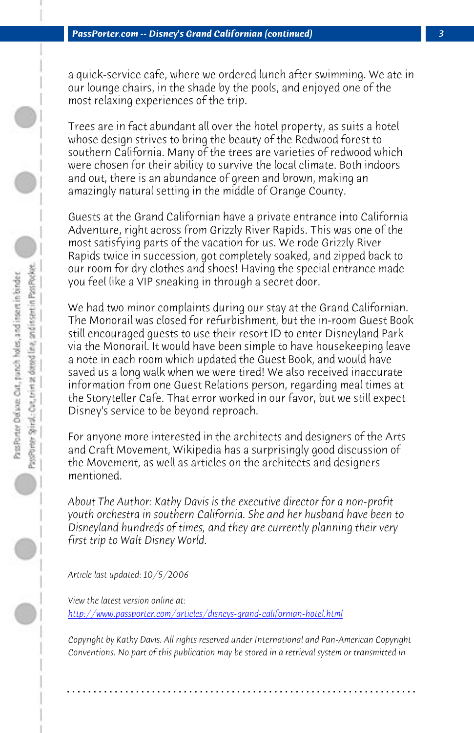a quick-service cafe, where we ordered lunch after swimming. We ate in our lounge chairs, in the shade by the pools, and enjoyed one of the most relaxing experiences of the trip.

Trees are in fact abundant all over the hotel property, as suits a hotel whose design strives to bring the beauty of the Redwood forest to southern California. Many of the trees are varieties of redwood which were chosen for their ability to survive the local climate. Both indoors and out, there is an abundance of green and brown, making an amazingly natural setting in the middle of Orange County.

Guests at the Grand Californian have a private entrance into California Adventure, right across from Grizzly River Rapids. This was one of the most satisfying parts of the vacation for us. We rode Grizzly River Rapids twice in succession, got completely soaked, and zipped back to our room for dry clothes and shoes! Having the special entrance made you feel like a VIP sneaking in through a secret door.

We had two minor complaints during our stay at the Grand Californian. The Monorail was closed for refurbishment, but the in-room Guest Book still encouraged guests to use their resort ID to enter Disneyland Park via the Monorail. It would have been simple to have housekeeping leave a note in each room which updated the Guest Book, and would have saved us a long walk when we were tired! We also received inaccurate information from one Guest Relations person, regarding meal times at [the Storyteller Cafe. That error worked in our favor, but w](http://www.passporter.com/articles/disneys-grand-californian-hotel.php)e still expect Disney's service to be beyond reproach.

For anyone more interested in the architects and designers of the Arts and Craft Movement, Wikipedia has a surprisingly good discussion of the Movement, as well as articles on the architects and designers mentioned.

*About The Author: Kathy Davis is the executive director for a non-profit youth orchestra in southern California. She and her husband have been to Disneyland hundreds of times, and they are currently planning their very first trip to Walt Disney World.*

*Article last updated: 10/5/2006*

*View the latest version online at: http://www.passporter.com/articles/disneys-grand-californian-hotel.html*

*Copyright by Kathy Davis. All rights reserved under International and Pan-American Copyright Conventions. No part of this publication may be stored in a retrieval system or transmitted in*

**. . . . . . . . . . . . . . . . . . . . . . . . . . . . . . . . . . . . . . . . . . . . . . . . . . . . . . . . . . . . . . . . . .**